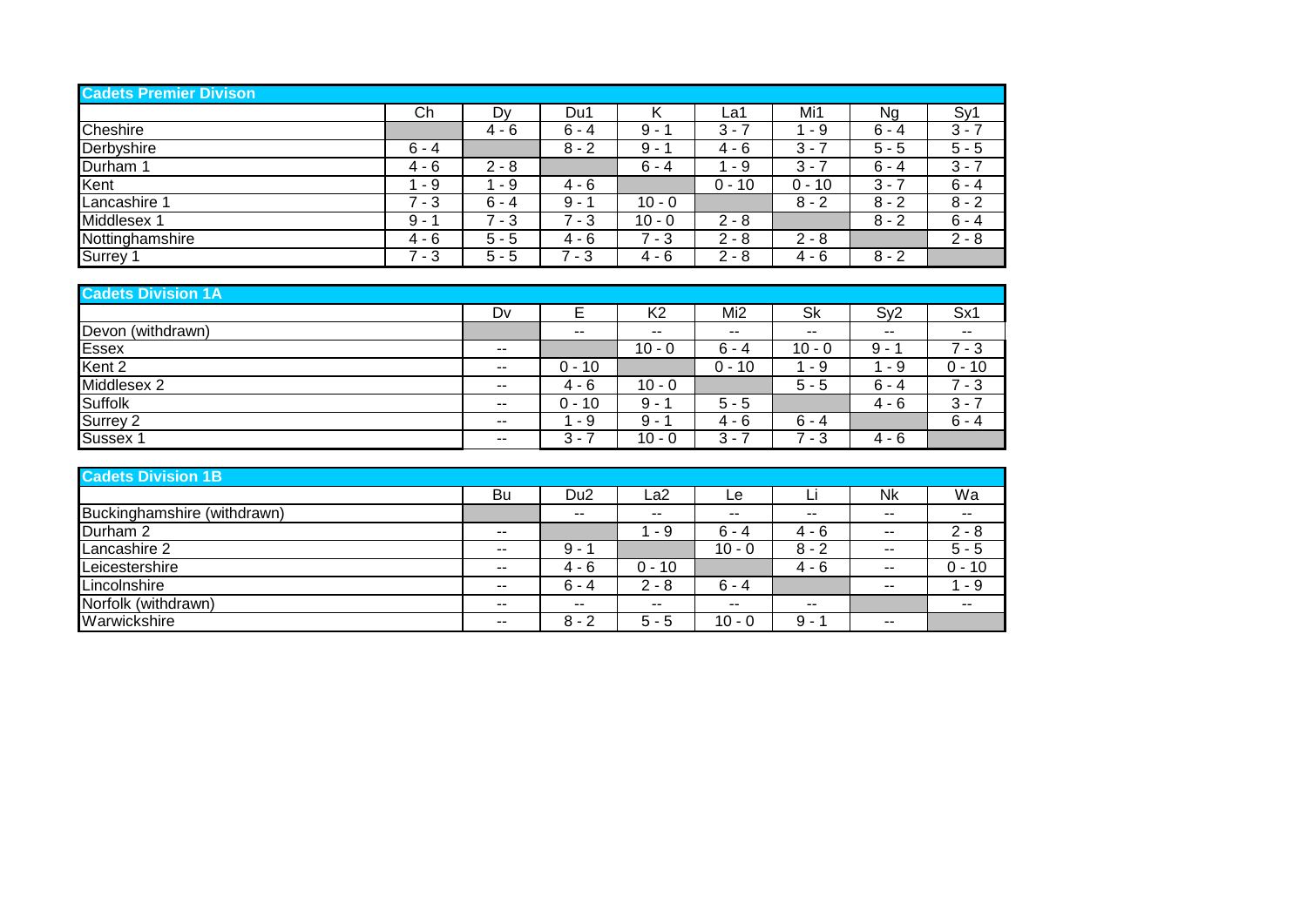| <b>Cadets Premier Divison</b> |         |         |         |          |           |          |         |         |
|-------------------------------|---------|---------|---------|----------|-----------|----------|---------|---------|
|                               | Ch      | Dv      | Du1     |          | La1       | Mi1      | Ng      | Sy1     |
| Cheshire                      |         | $4 - 6$ | $6 - 4$ | 9 -      | $3 - 7$   | - 9      | $6 - 4$ | $3 - 7$ |
| Derbyshire                    | $6 - 4$ |         | $8 - 2$ | 9 -      | $4 - 6$   | $3 - 7$  | $5 - 5$ | $5 - 5$ |
| Durham 1                      | $4 - 6$ | $2 - 8$ |         | $6 - 4$  | - 9       | 3 -      | $6 - 4$ | $3 - 7$ |
| Kent                          | - 9     | - 9     | $4 - 6$ |          | 0 -<br>10 | $0 - 10$ | $3 - 7$ | $6 - 4$ |
| Lancashire 1                  | $7 - 3$ | $6 - 4$ | $9 -$   | $10 - 0$ |           | $8 - 2$  | $8 - 2$ | $8 - 2$ |
| Middlesex 1                   | $9 -$   | $7 - 3$ | 7 - 3   | $10 - 0$ | $2 - 8$   |          | $8 - 2$ | $6 - 4$ |
| Nottinghamshire               | 4 - 6   | $5 - 5$ | $4 - 6$ | $7 - 3$  | $2 - 8$   | $2 - 8$  |         | $2 - 8$ |
| Surrey                        | $7 - 3$ | $5 - 5$ | - 3     | 4 - 6    | $2 - 8$   | $4 - 6$  | $8 - 2$ |         |

| <b>Cadets Division 1A</b> |       |                               |                          |                 |          |                          |                          |  |  |  |
|---------------------------|-------|-------------------------------|--------------------------|-----------------|----------|--------------------------|--------------------------|--|--|--|
|                           | Dv    |                               | K <sub>2</sub>           | Mi <sub>2</sub> | Sk       | Sy2                      | Sx1                      |  |  |  |
| Devon (withdrawn)         |       | $\overline{\phantom{m}}$      | $\overline{\phantom{m}}$ | $- -$           | --       | $\overline{\phantom{a}}$ | $\overline{\phantom{a}}$ |  |  |  |
| Essex                     | $- -$ |                               | $10 - 0$                 | $6 - 4$         | $10 - 0$ | 9 -                      | 7 - 3                    |  |  |  |
| Kent 2                    | $- -$ | $0 - 10$                      |                          | $0 - 10$        | - 9      | - 9                      | 0 - 10                   |  |  |  |
| Middlesex 2               | --    | 4 - 6                         | $10 - 0$                 |                 | $5 - 5$  | $6 - 4$                  | 7 - 3                    |  |  |  |
| <b>Suffolk</b>            | $- -$ | $0 - 10$                      | $9 -$                    | $5 - 5$         |          | $4 - 6$                  | $3 - 7$                  |  |  |  |
| Surrey 2                  | $- -$ | - 9                           | $9 -$                    | 4 - 6           | $6 - 4$  |                          | $6 - 4$                  |  |  |  |
| Sussex <sup>2</sup>       | --    | 3<br>$\overline{\phantom{a}}$ | $10 - 0$                 | 3 -             | - 3      | 4 - 6                    |                          |  |  |  |

| <b>Cadets Division 1B</b>   |               |                 |          |          |               |               |          |  |  |  |
|-----------------------------|---------------|-----------------|----------|----------|---------------|---------------|----------|--|--|--|
|                             | Bu            | Du <sub>2</sub> | La2      | Le       | Li            | <b>Nk</b>     | Wa       |  |  |  |
| Buckinghamshire (withdrawn) |               | $- -$           | $- -$    | $- -$    | $\sim$ $\sim$ | $- -$         | $- -$    |  |  |  |
| Durham 2                    | $\sim$ $\sim$ |                 | - 9      | $6 - 4$  | $4 - 6$       | $\sim$ $\sim$ | $2 - 8$  |  |  |  |
| Lancashire 2                | $\sim$ $\sim$ | 9 -             |          | $10 - 0$ | $8 - 2$       | $- -$         | $5 - 5$  |  |  |  |
| Leicestershire              | $- -$         | 4 - 6           | $0 - 10$ |          | $4 - 6$       | $- -$         | $0 - 10$ |  |  |  |
| Lincolnshire                | $- -$         | $6 - 4$         | $2 - 8$  | $6 - 4$  |               | $- -$         | - 9      |  |  |  |
| Norfolk (withdrawn)         | $- -$         | $\sim$ $\sim$   | $- -$    | $- -$    | $\sim$ $\sim$ |               | $- -$    |  |  |  |
| Warwickshire                | $- -$         | $8 - 2$         | $5 - 5$  | $10 - 0$ | 9 -           | $- -$         |          |  |  |  |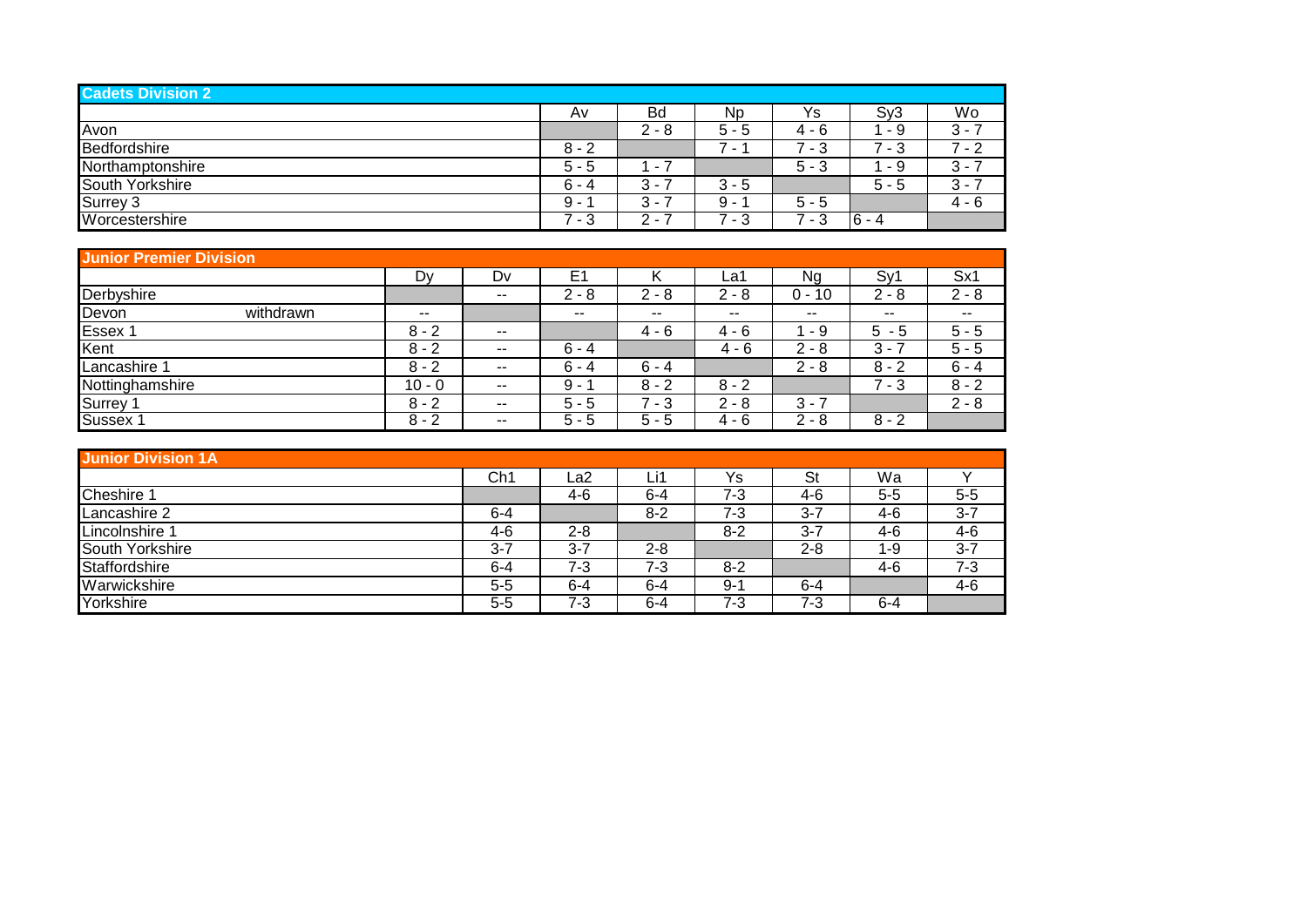| <b>Cadets Division 2</b> |         |                         |                               |          |                  |         |
|--------------------------|---------|-------------------------|-------------------------------|----------|------------------|---------|
|                          | A٧      | <b>Bd</b>               | Np                            | Ys       | S <sub>V</sub> 3 | Wo      |
| Avon                     |         | $2 - 8$                 | 5 -<br>'5                     | - 6<br>4 | - 9              | $3 - 7$ |
| <b>Bedfordshire</b>      | $8 - 2$ |                         | ⇁<br>$\overline{\phantom{a}}$ | - 3      | - 3              | $7 - 2$ |
| Northamptonshire         | $5 - 5$ | $\sim$                  |                               | $5 - 3$  | - 9              | $3 - 7$ |
| South Yorkshire          | $6 - 4$ | $\mathcal{R}$ -<br>ັ    | $3 - 5$                       |          | $5 - 5$          | $3 - 3$ |
| Surrey 3                 | 9 -     | າ<br>. .                | 9<br>$\overline{\phantom{0}}$ | $5 - 5$  |                  | 4 - 6   |
| Worcestershire           | - 3     | ົ<br>$\sim$<br><u>L</u> | 3<br>$\sim$                   | - 3      | $ 6 - 4$         |         |

| <b>Junior Premier Division</b> |          |               |                |            |         |                   |          |         |  |  |  |  |  |
|--------------------------------|----------|---------------|----------------|------------|---------|-------------------|----------|---------|--|--|--|--|--|
|                                | Dy       | Dv            | E <sub>1</sub> |            | ∟a1     | Na                | Sv'      | Sx1     |  |  |  |  |  |
| Derbyshire                     |          | $- -$         | $2 - 8$        | $2 - 8$    | $2 - 8$ | $0 -$<br>10       | $2 - 8$  | $2 - 8$ |  |  |  |  |  |
| withdrawn<br>Devon             | $- -$    |               | $- -$          | $- -$      | $- -$   | $\sim$ $\sim$     | $- -$    | $- -$   |  |  |  |  |  |
| Essex 1                        | $8 - 2$  | $\sim$ $\sim$ |                | $4 - 6$    | $4 - 6$ | - 9               | 5<br>- 5 | $5 - 5$ |  |  |  |  |  |
| Kent                           | $8 - 2$  | $- -$         | $6 - 4$        |            | $4 - 6$ | っ<br>2 - 8        | 3 -      | $5 - 5$ |  |  |  |  |  |
| Lancashire                     | $8 - 2$  | $\sim$ $\sim$ | $6 - 4$        | $6 - 4$    |         | $2 - 8$           | $8 - 2$  | $6 - 4$ |  |  |  |  |  |
| Nottinghamshire                | $10 - 0$ | $- -$         | 9 -            | $8 - 2$    | $8 - 2$ |                   | ⇁<br>- 3 | $8 - 2$ |  |  |  |  |  |
| Surrey                         | $8 - 2$  | $\sim$ $\sim$ | $5 - 5$        | ⇁<br>' - 3 | $2 - 8$ | $3 - 7$           |          | $2 - 8$ |  |  |  |  |  |
| Sussex 1                       | $8 - 2$  | $- -$         | $5 - 5$        | $5 - 5$    | $4 - 6$ | $\Omega$<br>2 - 8 | $8 - 2$  |         |  |  |  |  |  |

| <b>Junior Division 1A</b> |                 |         |         |         |         |         |         |  |  |  |
|---------------------------|-----------------|---------|---------|---------|---------|---------|---------|--|--|--|
|                           | Ch <sub>1</sub> | La2     | Li1     | Ys      | St      | Wa      |         |  |  |  |
| Cheshire 1                |                 | 4-6     | $6 - 4$ | $7 - 3$ | 4-6     | $5 - 5$ | $5 - 5$ |  |  |  |
| Lancashire 2              | $6 - 4$         |         | $8-2$   | $7 - 3$ | $3 - 7$ | $4-6$   | $3 - 7$ |  |  |  |
| Lincolnshire 1            | 4-6             | $2 - 8$ |         | $8 - 2$ | $3 - 7$ | $4-6$   | $4 - 6$ |  |  |  |
| South Yorkshire           | $3 - 7$         | $3 - 7$ | $2 - 8$ |         | $2 - 8$ | $1 - 9$ | $3 - 7$ |  |  |  |
| Staffordshire             | $6 - 4$         | 7-3     | $7 - 3$ | $8 - 2$ |         | 4-6     | $7 - 3$ |  |  |  |
| Warwickshire              | $5 - 5$         | $6 - 4$ | $6 - 4$ | $9 - 1$ | $6 - 4$ |         | 4-6     |  |  |  |
| Yorkshire                 | $5-5$           | 7-3     | $6 - 4$ | $7 - 3$ | 7-3     | $6 - 4$ |         |  |  |  |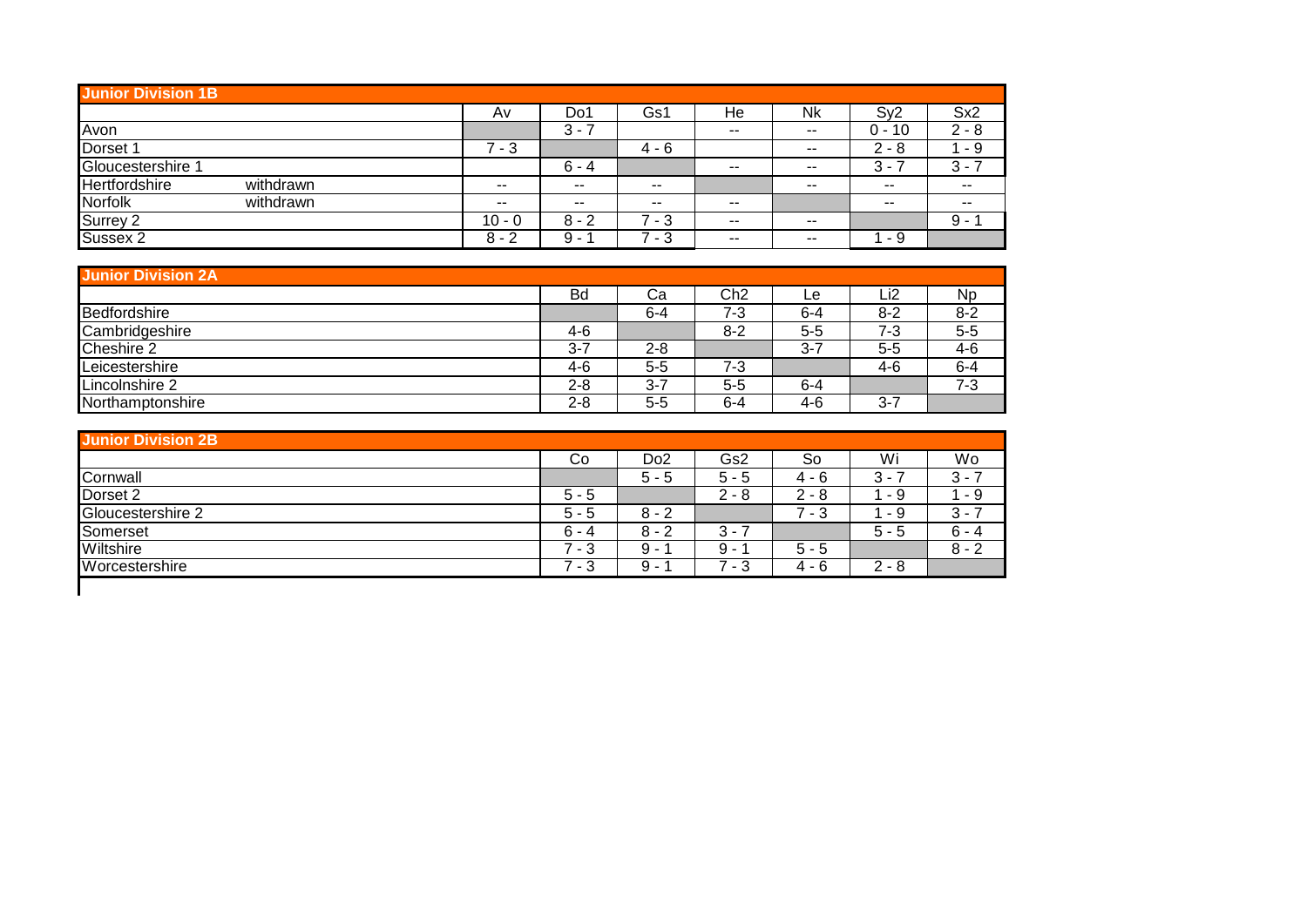|                 | <b>Junior Division 1B</b> |          |           |         |       |               |                               |                 |  |  |  |  |  |
|-----------------|---------------------------|----------|-----------|---------|-------|---------------|-------------------------------|-----------------|--|--|--|--|--|
|                 |                           | A٧       | D٥        | Gs1     | He    | Nk            | Sv2                           | Sx <sub>2</sub> |  |  |  |  |  |
| Avon            |                           |          | $3 -$     |         | $- -$ | $- -$         | $0 - 10$                      | $2 - 8$         |  |  |  |  |  |
| Dorset 1        |                           | ⇁<br>- 3 |           | $4 - 6$ |       | $- -$         | $2 - 8$                       | - 9             |  |  |  |  |  |
| Gloucestershire |                           |          | $6 - 4$   |         | $- -$ | $- -$         | 3<br>$\overline{\phantom{a}}$ | າ<br>۰.,        |  |  |  |  |  |
| Hertfordshire   | withdrawn                 | $- -$    | $- -$     | $- -$   |       | $- -$         | $- -$                         | $- -$           |  |  |  |  |  |
| Norfolk         | withdrawn                 | $- -$    | $\sim$    | $- -$   | $- -$ |               | $- -$                         | $- -$           |  |  |  |  |  |
| Surrey 2        |                           | $10 - 0$ | 8<br>$-2$ | - 3     | $- -$ | $- -$         |                               | $9 -$           |  |  |  |  |  |
| Sussex 2        |                           | $8 - 2$  | 9 -       | - 3     | $- -$ | $\sim$ $\sim$ | - 9                           |                 |  |  |  |  |  |

| <b>Junior Division 2A</b> |         |         |         |     |         |           |  |  |  |  |
|---------------------------|---------|---------|---------|-----|---------|-----------|--|--|--|--|
|                           | Bd      | Ca      | Ch2     | Le  | _i2     | <b>Np</b> |  |  |  |  |
| Bedfordshire              |         | $6 - 4$ | 7-3     | 6-4 | $8 - 2$ | $8 - 2$   |  |  |  |  |
| Cambridgeshire            | 4-6     |         | $8 - 2$ | 5-5 | 7-3     | $5-5$     |  |  |  |  |
| Cheshire 2                | $3 - 7$ | $2 - 8$ |         | 3-7 | $5 - 5$ | 4-6       |  |  |  |  |
| Leicestershire            | $4-6$   | $5 - 5$ | 7-3     |     | 4-6     | $6 - 4$   |  |  |  |  |
| Lincolnshire 2            | $2 - 8$ | 3-7     | $5 - 5$ | 6-4 |         | $7 - 3$   |  |  |  |  |
| Northamptonshire          | $2 - 8$ | 5-5     | $6 - 4$ | 4-6 | $3 - 7$ |           |  |  |  |  |

| <b>Junior Division 2B</b> |         |                 |                               |                 |          |         |
|---------------------------|---------|-----------------|-------------------------------|-----------------|----------|---------|
|                           | Co      | Do <sub>2</sub> | Gs2                           | So              | Wi       | Wo      |
| Cornwall                  |         | $5 - 5$         | 5 -<br>ა                      | $4 - 6$         | 3<br>۰   | $3 - 7$ |
| Dorset 2                  | $5 - 5$ |                 | $2 - 8$                       | $2 - 8$         | - 9      | 1 - 9   |
| Gloucestershire 2         | $5 - 5$ | $8 - 2$         |                               | - 3             | - 9      | $3 - 7$ |
| Somerset                  | $6 - 4$ | $8 - 2$         | 3 -                           |                 | $5 - 5$  | $6 - 4$ |
| Wiltshire                 | - 3     | 9<br>$\sim$     | 9<br>$\overline{\phantom{0}}$ | $5 - 5$         |          | $8 - 2$ |
| Worcestershire            | - 3     | 9<br>$\sim$     | $\sim$<br>ত                   | - 6<br>$\Delta$ | 2<br>- 8 |         |
|                           |         |                 |                               |                 |          |         |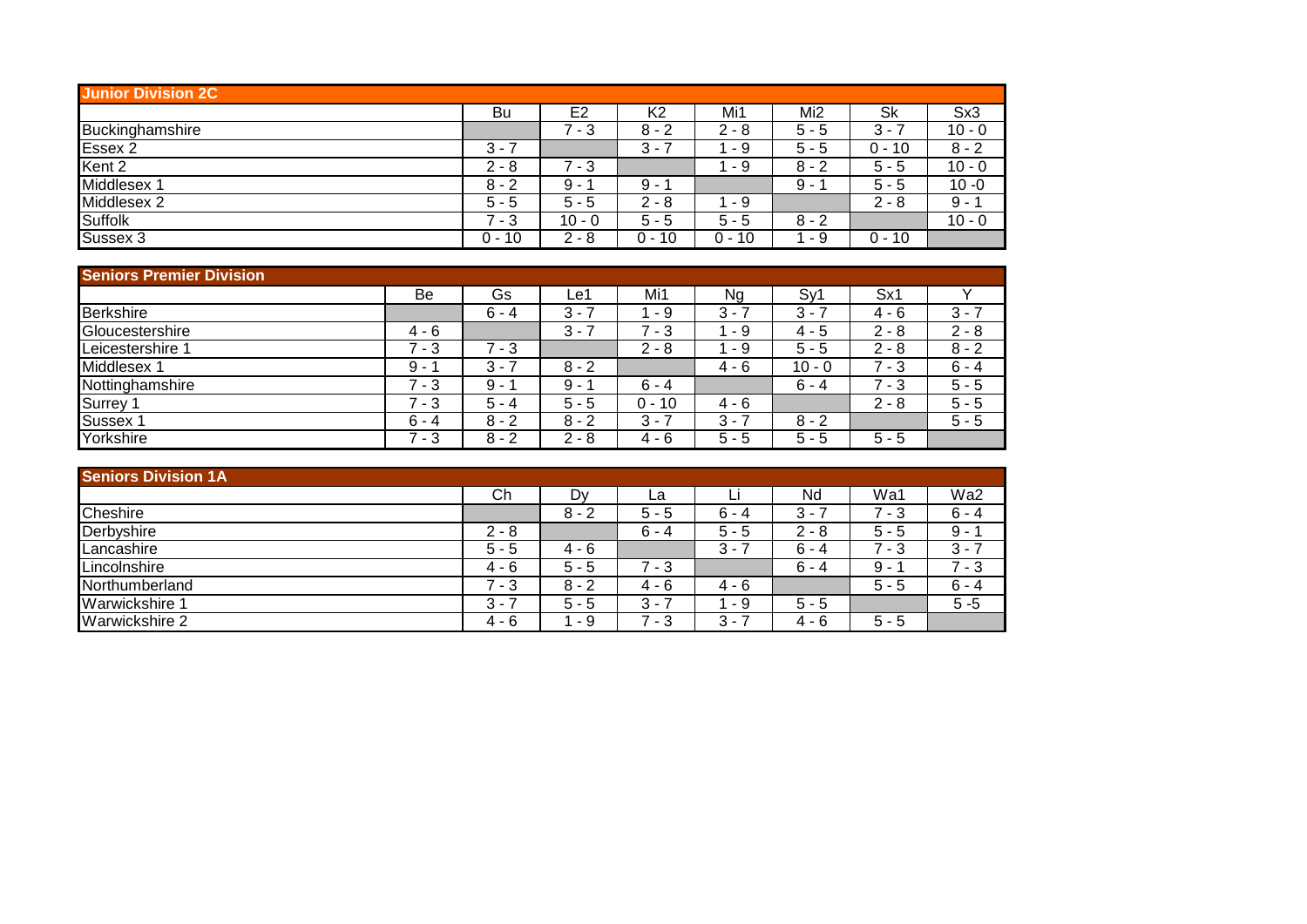| <b>Junior Division 2C</b> |             |                |            |          |                 |          |          |
|---------------------------|-------------|----------------|------------|----------|-----------------|----------|----------|
|                           | Bu          | E <sub>2</sub> | K2         | Mi1      | Mi <sub>2</sub> | Sk       | Sx3      |
| Buckinghamshire           |             | - 3            | $8 - 2$    | າ<br>- 8 | $5 - 5$         | $3 -$    | $10 - 0$ |
| Essex 2                   | $3 - 7$     |                | $3 -$<br>ٮ | - 9      | $5 - 5$         | 0 - 10   | $8 - 2$  |
| Kent 2                    | $2 - 8$     | 7 - 3          |            | - 9      | $8 - 2$         | $5 - 5$  | $10 - 0$ |
| Middlesex 1               | $8 - 2$     | 9 -            | 9 -        |          | 9 -             | $5 - 5$  | $10 - 0$ |
| Middlesex 2               | $5 - 5$     | $5 - 5$        | $2 - 8$    | - 9      |                 | $2 - 8$  | $9 - 1$  |
| <b>Suffolk</b>            | ⇁<br>- 3    | $10 - 0$       | $5 - 5$    | $5 - 5$  | $8 - 2$         |          | $10 - 0$ |
| Sussex 3                  | $0 -$<br>10 | $2 - 8$        | 0 - 10     | 0 - 10   | - 9             | $0 - 10$ |          |

| <b>Seniors Premier Division</b> |         |         |         |          |         |             |         |         |
|---------------------------------|---------|---------|---------|----------|---------|-------------|---------|---------|
|                                 | Be      | Gs      | Le′     | Mi1      | Ng      | Sy'         | Sx1     |         |
| <b>Berkshire</b>                |         | $6 - 4$ | $3 - 7$ | - 9      | $3 -$   | $3 -$<br>ىب | $4 - 6$ | $3 - 7$ |
| Gloucestershire                 | $4 - 6$ |         | $3 - 7$ | $-3$     | - 9     | $4 - 5$     | $2 - 8$ | $2 - 8$ |
| Leicestershire 1                | $7 - 3$ | $7 - 3$ |         | $2 - 8$  | - 9     | $5 - 5$     | $2 - 8$ | $8 - 2$ |
| Middlesex 1                     | $9 -$   | $3 - 7$ | $8 - 2$ |          | $4 - 6$ | $10 - 0$    | $7 - 3$ | $6 - 4$ |
| Nottinghamshire                 | 7 - 3   | $9 -$   | 9 - I   | $6 - 4$  |         | $6 - 4$     | - 3     | $5 - 5$ |
| Surrey 1                        | $7 - 3$ | $5 - 4$ | $5 - 5$ | $0 - 10$ | $4 - 6$ |             | $2 - 8$ | $5 - 5$ |
| Sussex 1                        | $6 - 4$ | $8 - 2$ | $8 - 2$ | $3 - 7$  | 3 -     | $8 - 2$     |         | $5 - 5$ |
| Yorkshire                       | $7 - 3$ | $8 - 2$ | $2 - 8$ | $4 - 6$  | $5 - 5$ | $5 - 5$     | $5 - 5$ |         |

| <b>Seniors Division 1A</b> |         |         |         |         |         |          |         |
|----------------------------|---------|---------|---------|---------|---------|----------|---------|
|                            | Сh      | D٧      | La      |         | Nd      | Wa1      | Wa2     |
| Cheshire                   |         | $8 - 2$ | $5 - 5$ | $6 - 4$ | $3 - 7$ | - 3      | $6 - 4$ |
| Derbyshire                 | $2 - 8$ |         | $6 - 4$ | $5 - 5$ | $2 - 8$ | $5 - 5$  | $9 -$   |
| Lancashire                 | $5 - 5$ | 4 - 6   |         | $3 -$   | $6 - 4$ | ⇁<br>- 3 | $3 - 7$ |
| Lincolnshire               | $4 - 6$ | $5 - 5$ | 7 - 3   |         | $6 - 4$ | 9 -      | 7 - 3   |
| Northumberland             | - 3     | $8 - 2$ | $4 - 6$ | $4 - 6$ |         | $5 - 5$  | $6 - 4$ |
| Warwickshire 1             | $3 - 7$ | $5 - 5$ | $3 - 7$ | - 9     | $5 - 5$ |          | $5 - 5$ |
| Warwickshire 2             | $4 - 6$ | - 9     | - 3     | 3 -     | $4 - 6$ | $5 - 5$  |         |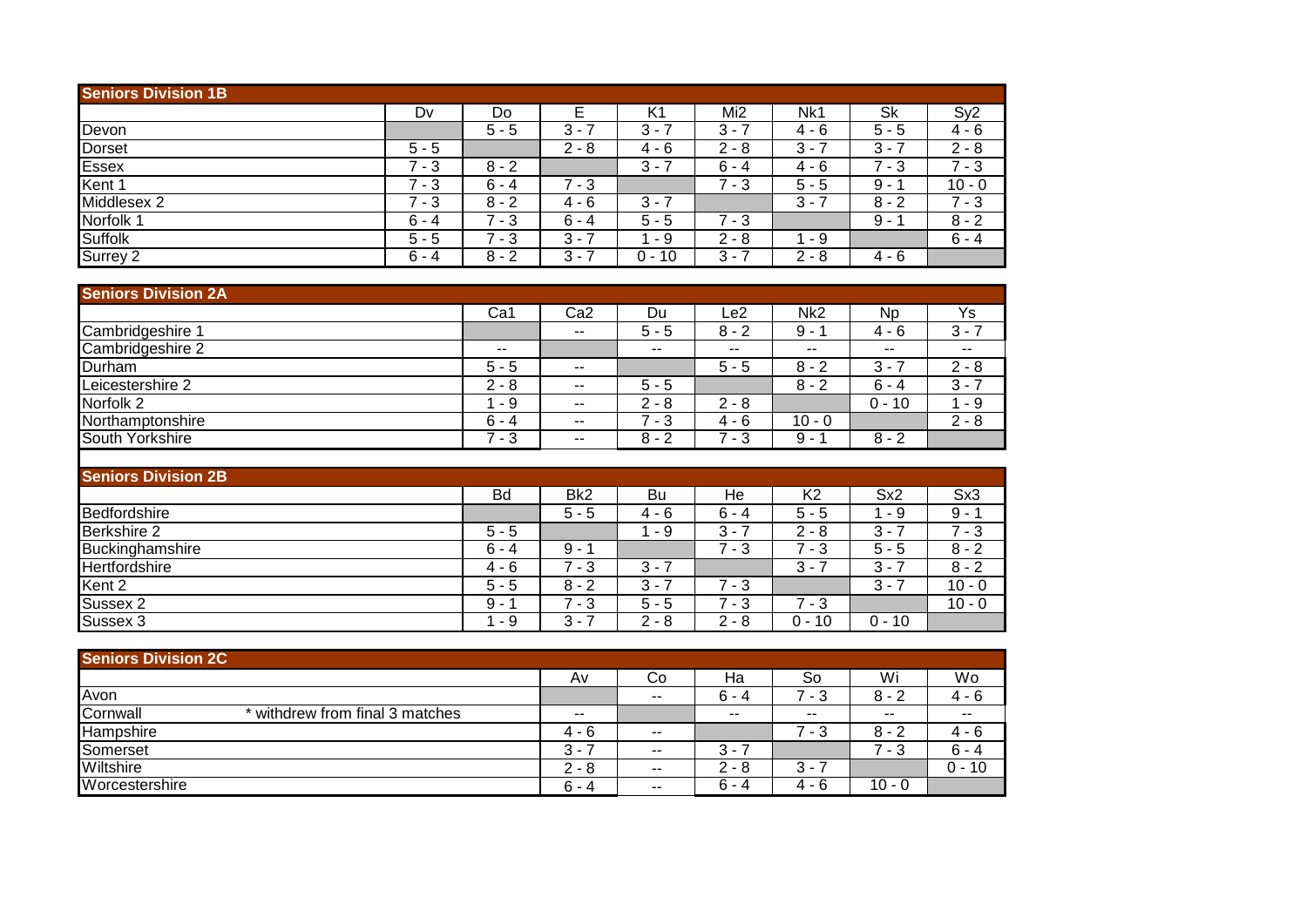| <b>Seniors Division 1B</b> |         |         |           |         |         |          |           |                 |
|----------------------------|---------|---------|-----------|---------|---------|----------|-----------|-----------------|
|                            | Dv      | Do      |           | K1      | Mi2     | Nk1      | <b>Sk</b> | Sy <sub>2</sub> |
| Devon                      |         | $5 - 5$ | $3 -$     | 3 -     | $3 -$   | $4 - 6$  | $5 - 5$   | 4 - 6           |
| <b>Dorset</b>              | $5 - 5$ |         | $2 - 8$   | 4 - 6   | $2 - 8$ | 3<br>н.  | $3 - 7$   | $2 - 8$         |
| <b>Essex</b>               | $7 - 3$ | $8 - 2$ |           | $3 -$   | $6 - 4$ | 4 - 6    | $7 - 3$   | $7 - 3$         |
| Kent 1                     | $7 - 3$ | $6 - 4$ | 7<br>$-3$ |         | $7 - 3$ | $5 - 5$  | $9 -$     | $10 - 0$        |
| Middlesex 2                | $7 - 3$ | $8 - 2$ | $4 - 6$   | $3 -$   |         | $3 - 7$  | $8 - 2$   | $7 - 3$         |
| Norfolk <sub>1</sub>       | $6 - 4$ | $7 - 3$ | $6 - 4$   | $5 - 5$ | $7 - 3$ |          | 9 -       | $8 - 2$         |
| <b>Suffolk</b>             | $5 - 5$ | $7 - 3$ | $3 - 7$   | - 9     | $2 - 8$ | - 9      |           | $6 - 4$         |
| Surrey 2                   | $6 - 4$ | $8 - 2$ | $3 - 3$   | 0 - 10  | $3 -$   | ົ<br>- 8 | $4 - 6$   |                 |

| <b>Seniors Division 2A</b> |               |                          |         |         |                 |          |         |
|----------------------------|---------------|--------------------------|---------|---------|-----------------|----------|---------|
|                            | Ca1           | Ca <sub>2</sub>          | Du      | Le2     | Nk <sub>2</sub> | Np.      | Ys      |
| Cambridgeshire 1           |               | $- -$                    | $5 - 5$ | $8 - 2$ | 9 -             | 4 - 6    | $3 - 7$ |
| Cambridgeshire 2           | $\sim$ $\sim$ |                          | $- -$   | $- -$   | --              | $- -$    | $- -$   |
| Durham                     | $5 - 5$       | $\sim$ $\sim$            |         | $5 - 5$ | $8 - 2$         | $3 - 3$  | $2 - 8$ |
| Leicestershire 2           | $2 - 8$       | $- -$                    | $5 - 5$ |         | $8 - 2$         | $6 - 4$  | $3 - 7$ |
| Norfolk 2                  | - 9           | $\sim$                   | $2 - 8$ | $2 - 8$ |                 | $0 - 10$ | - 9     |
| Northamptonshire           | $6 - 4$       | $\overline{\phantom{a}}$ | $7 - 3$ | 4 - 6   | $10 - 0$        |          | $2 - 8$ |
| South Yorkshire            | $7 - 3$       | $\sim$ $\sim$            | $8 - 2$ | $7 - 3$ | $9 -$           | $8 - 2$  |         |
|                            |               |                          |         |         |                 |          |         |

| <b>Seniors Division 2B</b> |             |                 |                               |                  |                |                               |          |
|----------------------------|-------------|-----------------|-------------------------------|------------------|----------------|-------------------------------|----------|
|                            | Bd          | Bk <sub>2</sub> | Bu                            | He               | K <sub>2</sub> | Sx2                           | Sx3      |
| Bedfordshire               |             | $5 - 5$         | 4 - 6                         | $6 - 4$          | $5 - 5$        | - 9                           | 9 -      |
| Berkshire 2                | $5 - 5$     |                 | - 9                           | $3 -$            | ◠<br>- 8<br>∠  | 3                             | 7 - 3    |
| Buckinghamshire            | $6 - 4$     | 9 -             |                               | ⇁<br>3<br>$\sim$ | - 3            | 5 -<br>5                      | $8 - 2$  |
| Hertfordshire              | 4 - 6       | ⇁<br>- 3        | $3 - 1$                       |                  | 3<br>$\sim$    | 3<br>$\overline{\phantom{a}}$ | $8 - 2$  |
| Kent 2                     | $5 - 5$     | $8 - 2$         | າ<br>$\overline{\phantom{a}}$ | 7<br>- 3         |                | 3<br>$\sim$                   | $10 - 0$ |
| Sussex 2                   | 9<br>$\sim$ | - 3             | $5 - 5$                       | 3<br>$\sim$      | ⇁<br>- 3       |                               | $10 - 0$ |
| Sussex 3                   | - 9         | $3 - 7$         | $2 - 8$                       | $2 - 8$          | 0 -<br>10      | $0 - 10$                      |          |

| <b>Senjors Division 2C</b>                  |                               |       |            |                               |          |          |
|---------------------------------------------|-------------------------------|-------|------------|-------------------------------|----------|----------|
|                                             | A٧                            | Co    | Ha         | So                            | Wi       | Wo       |
| Avon                                        |                               | $- -$ | $6 -$<br>4 | - 3                           | 8<br>- 2 | $4 - 6$  |
| Cornwall<br>* withdrew from final 3 matches | $- -$                         |       | $- -$      | $\sim$ $\sim$                 | $- -$    | $- -$    |
| Hampshire                                   | 4 - 6                         | $- -$ |            | - 3                           | 8<br>- 2 | $4 - 6$  |
| Somerset                                    | 3<br>$\overline{\phantom{a}}$ | $- -$ | 3 -        |                               | ⇁<br>- 3 | $6 - 4$  |
| Wiltshire                                   | $2 - 8$                       | $- -$ | $2 - 8$    | 3<br>$\overline{\phantom{a}}$ |          | $0 - 10$ |
| Worcestershire                              | $6 - 4$                       | $- -$ | $6 - 4$    | - 6<br>4                      | $10 - 0$ |          |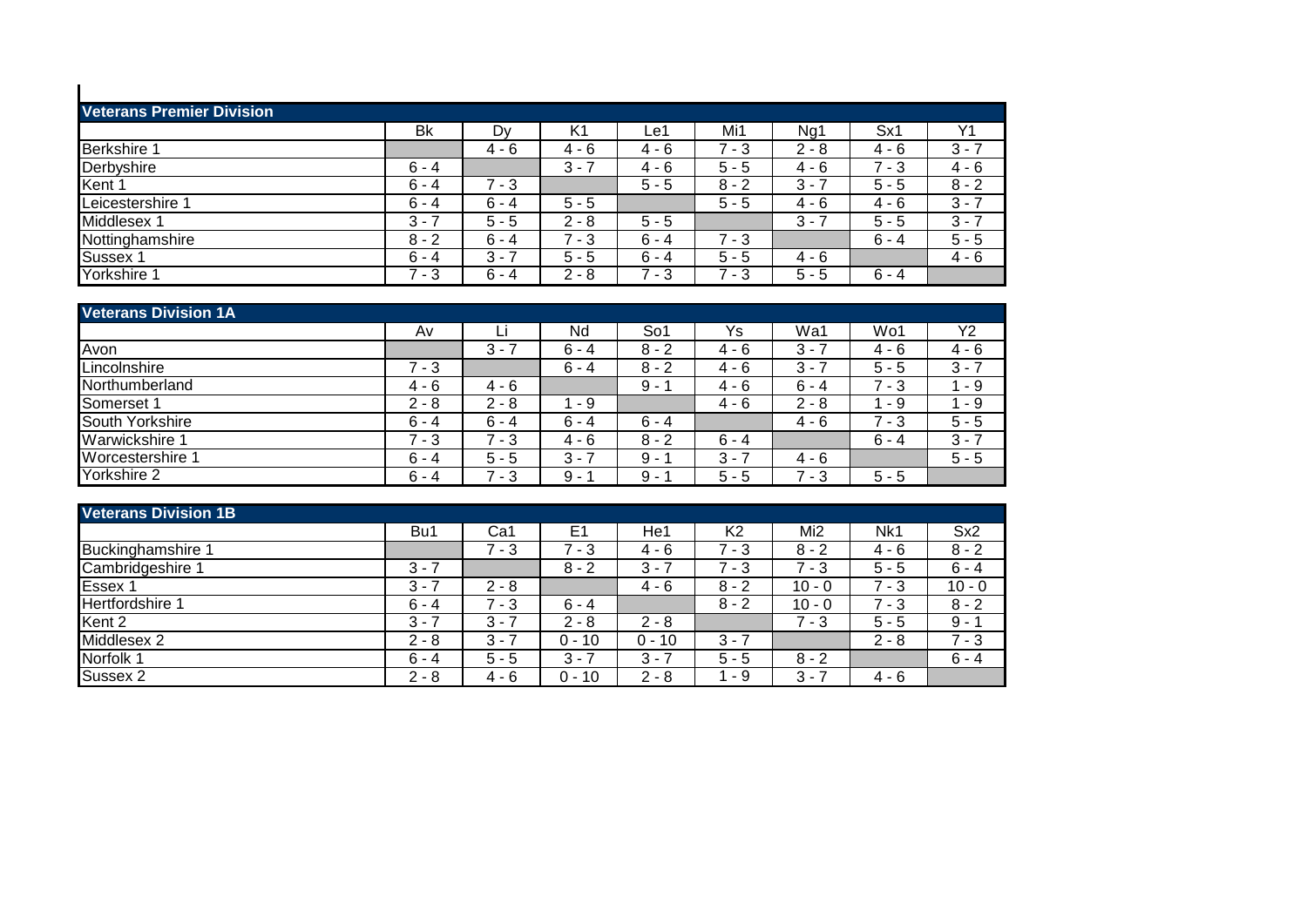| <b>Veterans Premier Division</b> |         |         |         |         |         |         |         |                |
|----------------------------------|---------|---------|---------|---------|---------|---------|---------|----------------|
|                                  | Bk      | Dy      | K1      | ∟e1     | Mi1     | Ng1     | Sx1     | Y <sub>1</sub> |
| Berkshire 1                      |         | $4 - 6$ | $4 - 6$ | $4 - 6$ | $7 - 3$ | $2 - 8$ | $4 - 6$ | $3 - 7$        |
| Derbyshire                       | $6 - 4$ |         | $3 -$   | $4 - 6$ | $5 - 5$ | $4 - 6$ | $7 - 3$ | $4 - 6$        |
| Kent 1                           | $6 - 4$ | $7 - 3$ |         | $5 - 5$ | $8 - 2$ | $3 - 7$ | $5 - 5$ | $8 - 2$        |
| Leicestershire 1                 | $6 - 4$ | $6 - 4$ | $5 - 5$ |         | $5 - 5$ | $4 - 6$ | $4 - 6$ | $3 - 7$        |
| Middlesex 1                      | $3 - 7$ | $5 - 5$ | $2 - 8$ | $5 - 5$ |         | $3 - 7$ | $5 - 5$ | $3 - 7$        |
| Nottinghamshire                  | $8 - 2$ | $6 - 4$ | $7 - 3$ | $6 - 4$ | $7 - 3$ |         | $6 - 4$ | $5 - 5$        |
| Sussex 1                         | $6 - 4$ | $3 - 7$ | $5 - 5$ | $6 - 4$ | $5 - 5$ | $4 - 6$ |         | $4 - 6$        |
| Yorkshire 1                      | $7 - 3$ | $6 - 4$ | $2 - 8$ | - 3     | - 3     | $5 - 5$ | $6 - 4$ |                |

| <b>Veterans Division 1A</b> |         |         |         |         |         |         |         |         |
|-----------------------------|---------|---------|---------|---------|---------|---------|---------|---------|
|                             | Av      | Li      | Nd      | So1     | Ys      | Wa1     | Wo1     | Y2      |
| Avon                        |         | $3 - 7$ | $6 - 4$ | $8 - 2$ | $4 - 6$ | $3 - 7$ | $4 - 6$ | $4 - 6$ |
| Lincolnshire                | $7 - 3$ |         | $6 - 4$ | $8 - 2$ | $4 - 6$ | $3 - 7$ | $5 - 5$ | $3 - 7$ |
| Northumberland              | $4 - 6$ | $4 - 6$ |         | 9 -     | 4 - 6   | $6 - 4$ | - 3     | - 9     |
| Somerset 1                  | $2 - 8$ | $2 - 8$ | - 9     |         | $4 - 6$ | $2 - 8$ | - 9     | - 9     |
| South Yorkshire             | $6 - 4$ | $6 - 4$ | $6 - 4$ | $6 - 4$ |         | $4 - 6$ | $7 - 3$ | $5 - 5$ |
| Warwickshire 1              | $7 - 3$ | $7 - 3$ | $4 - 6$ | $8 - 2$ | $6 - 4$ |         | $6 - 4$ | $3 - 7$ |
| Worcestershire 1            | $6 - 4$ | $5 - 5$ | $3 - 7$ | 9 -     | $3 -$   | $4 - 6$ |         | $5 - 5$ |
| Yorkshire 2                 | $6 - 4$ | $7 - 3$ | $9 - 1$ | $9 -$   | $5 - 5$ | $7 - 3$ | $5 - 5$ |         |

| <b>Veterans Division 1B</b> |         |         |                |          |                |                 |         |                 |
|-----------------------------|---------|---------|----------------|----------|----------------|-----------------|---------|-----------------|
|                             | Bu1     | Ca1     | E <sub>1</sub> | He1      | K <sub>2</sub> | Mi <sub>2</sub> | Nk1     | Sx <sub>2</sub> |
| Buckinghamshire 1           |         | - 3     | $7 - 3$        | $4 - 6$  | $7 - 3$        | $8 - 2$         | $4 - 6$ | $8 - 2$         |
| Cambridgeshire 1            | $3 - 7$ |         | $8 - 2$        | $3 -$    | $7 - 3$        | $7 - 3$         | $5 - 5$ | $6 - 4$         |
| Essex 1                     | 3 -     | $2 - 8$ |                | $4 - 6$  | $8 - 2$        | $10 - 0$        | $7 - 3$ | $10 - 0$        |
| Hertfordshire 1             | $6 - 4$ | $7 - 3$ | $6 - 4$        |          | $8 - 2$        | $10 - 0$        | $7 - 3$ | $8 - 2$         |
| Kent 2                      | $3 - 7$ | $3 - 7$ | $2 - 8$        | $2 - 8$  |                | $7 - 3$         | $5 - 5$ | $9 - 1$         |
| Middlesex 2                 | $2 - 8$ | $3 - 7$ | $0 - 10$       | $0 - 10$ | $3 - 7$        |                 | $2 - 8$ | $7 - 3$         |
| Norfolk 1                   | $6 - 4$ | $5 - 5$ | $3 - 7$        | $3 - 7$  | $5 - 5$        | $8 - 2$         |         | $6 - 4$         |
| Sussex 2                    | $2 - 8$ | $4 - 6$ | $0 - 10$       | $2 - 8$  | - 9            | $3 - 7$         | $4 - 6$ |                 |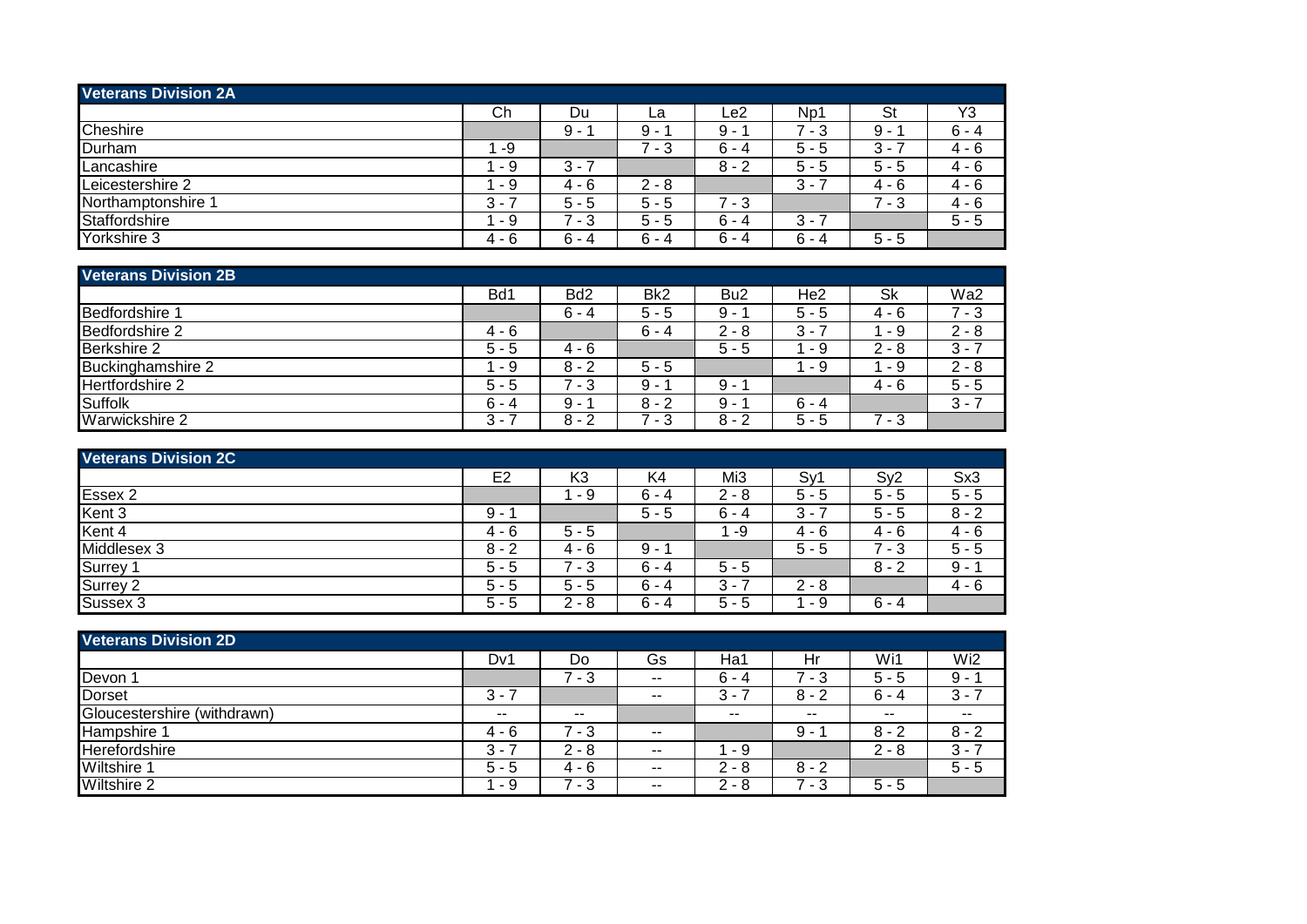| <b>Veterans Division 2A</b> |         |          |             |         |                               |           |                |
|-----------------------------|---------|----------|-------------|---------|-------------------------------|-----------|----------------|
|                             | Ch      | Du       | La          | Le2     | Np1                           | <b>St</b> | Y <sub>3</sub> |
| Cheshire                    |         | 9 -      | a<br>$\sim$ | 9 -     | - 3                           | 9 -       | $6 - 4$        |
| Durham                      | -9      |          | ⇁<br>- 3    | $6 - 4$ | $5 - 5$                       | $3 -$     | 4 - 6          |
| Lancashire                  | - 9     | $3 - 7$  |             | $8 - 2$ | 5<br>- 5                      | $5 - 5$   | $4 - 6$        |
| Leicestershire 2            | - 9     | 4 - 6    | $2 - 8$     |         | $3 -$                         | 4 - 6     | $4 - 6$        |
| Northamptonshire '          | $3 - 7$ | $5 - 5$  | $5 - 5$     | $7 - 3$ |                               | - 3       | 4 - 6          |
| Staffordshire               | - 9     | - 3<br>7 | $5 - 5$     | $6 - 4$ | 3<br>$\overline{\phantom{a}}$ |           | $5 - 5$        |
| Yorkshire 3                 | $4 - 6$ | $6 - 4$  | $6 - 4$     | $6 - 4$ | $6 - 4$                       | $5 - 5$   |                |

| <b>Veterans Division 2B</b> |         |                 |                 |                 |                 |         |         |  |  |  |
|-----------------------------|---------|-----------------|-----------------|-----------------|-----------------|---------|---------|--|--|--|
|                             | Bd1     | Bd <sub>2</sub> | Bk <sub>2</sub> | Bu <sub>2</sub> | He <sub>2</sub> | Sk      | Wa2     |  |  |  |
| Bedfordshire 1              |         | $6 - 4$         | $5 - 5$         | $9 - 1$         | $5 - 5$         | $4 - 6$ | 7 - 3   |  |  |  |
| Bedfordshire 2              | $4 - 6$ |                 | $6 - 4$         | $2 - 8$         | $3 - 7$         | - 9     | $2 - 8$ |  |  |  |
| Berkshire 2                 | $5 - 5$ | $4 - 6$         |                 | $5 - 5$         | - 9             | $2 - 8$ | $3 - 7$ |  |  |  |
| Buckinghamshire 2           | - 9     | $8 - 2$         | $5 - 5$         |                 | - 9             | - 9     | $2 - 8$ |  |  |  |
| Hertfordshire 2             | $5 - 5$ | $7 - 3$         | $9 - 1$         | $9 - 1$         |                 | $4 - 6$ | $5 - 5$ |  |  |  |
| Suffolk                     | $6 - 4$ | $9 - 1$         | $8 - 2$         | $9 - 1$         | $6 - 4$         |         | $3 - 7$ |  |  |  |
| Warwickshire 2              | $3 - 7$ | $8 - 2$         | $7 - 3$         | $8 - 2$         | $5 - 5$         | $7 - 3$ |         |  |  |  |

| <b>Veterans Division 2C</b> |                |          |         |         |          |          |         |  |  |  |
|-----------------------------|----------------|----------|---------|---------|----------|----------|---------|--|--|--|
|                             | E <sub>2</sub> | K3       | K4      | Mi3     | Sy'      | Sy2      | Sx3     |  |  |  |
| Essex 2                     |                | - 9      | $6 - 4$ | $2 - 8$ | 5 -<br>5 | $5 - 5$  | $5 - 5$ |  |  |  |
| Kent 3                      | 9 -            |          | $5 - 5$ | $6 - 4$ | $3 - 7$  | $5 - 5$  | $8 - 2$ |  |  |  |
| Kent 4                      | $4 - 6$        | $5 - 5$  |         | -9      | $4 - 6$  | $4 - 6$  | 4 - 6   |  |  |  |
| Middlesex 3                 | $8 - 2$        | $4 - 6$  | 9 -     |         | $5 - 5$  | ⇁<br>- 3 | $5 - 5$ |  |  |  |
| Surrey <sup>*</sup>         | $5 - 5$        | ⇁<br>- 3 | $6 - 4$ | $5 - 5$ |          | $8 - 2$  | 9 -     |  |  |  |
| Surrey 2                    | $5 - 5$        | $5 - 5$  | $6 - 4$ | 3 -     | $2 - 8$  |          | 4 - 6   |  |  |  |
| Sussex 3                    | $5 - 5$        | $2 - 8$  | $6 - 4$ | $5 - 5$ | - 9      | $6 - 4$  |         |  |  |  |

| <b>Veterans Division 2D</b> |         |         |                          |               |         |         |         |
|-----------------------------|---------|---------|--------------------------|---------------|---------|---------|---------|
|                             | Dv1     | Do      | Gs                       | Ha1           | Hr      | Wi1     | Wi2     |
| Devon 1                     |         | - 3     | $\overline{\phantom{a}}$ | $6 - 4$       | - 3     | $5 - 5$ | $9 - 1$ |
| <b>Dorset</b>               | $3 - 7$ |         | $- -$                    | $3 -$         | $8 - 2$ | $6 - 4$ | $3 - 7$ |
| Gloucestershire (withdrawn) | $- -$   | $- -$   |                          | $- -$         | $- -$   | $- -$   | $- -$   |
| Hampshire 1                 | 4 - 6   | - 3     | $- -$                    |               | 9 -     | $8 - 2$ | $8 - 2$ |
| Herefordshire               | $3 -$   | $2 - 8$ | $- -$                    | - 9           |         | $2 - 8$ | $3 - 7$ |
| <b>Wiltshire 1</b>          | $5 - 5$ | 4 - 6   | $- -$                    | $2 - 8$       | $8 - 2$ |         | $5 - 5$ |
| <b>Wiltshire 2</b>          | - 9     | - 3     | $- -$                    | C<br>- 8<br>∠ | - 3     | $5 - 5$ |         |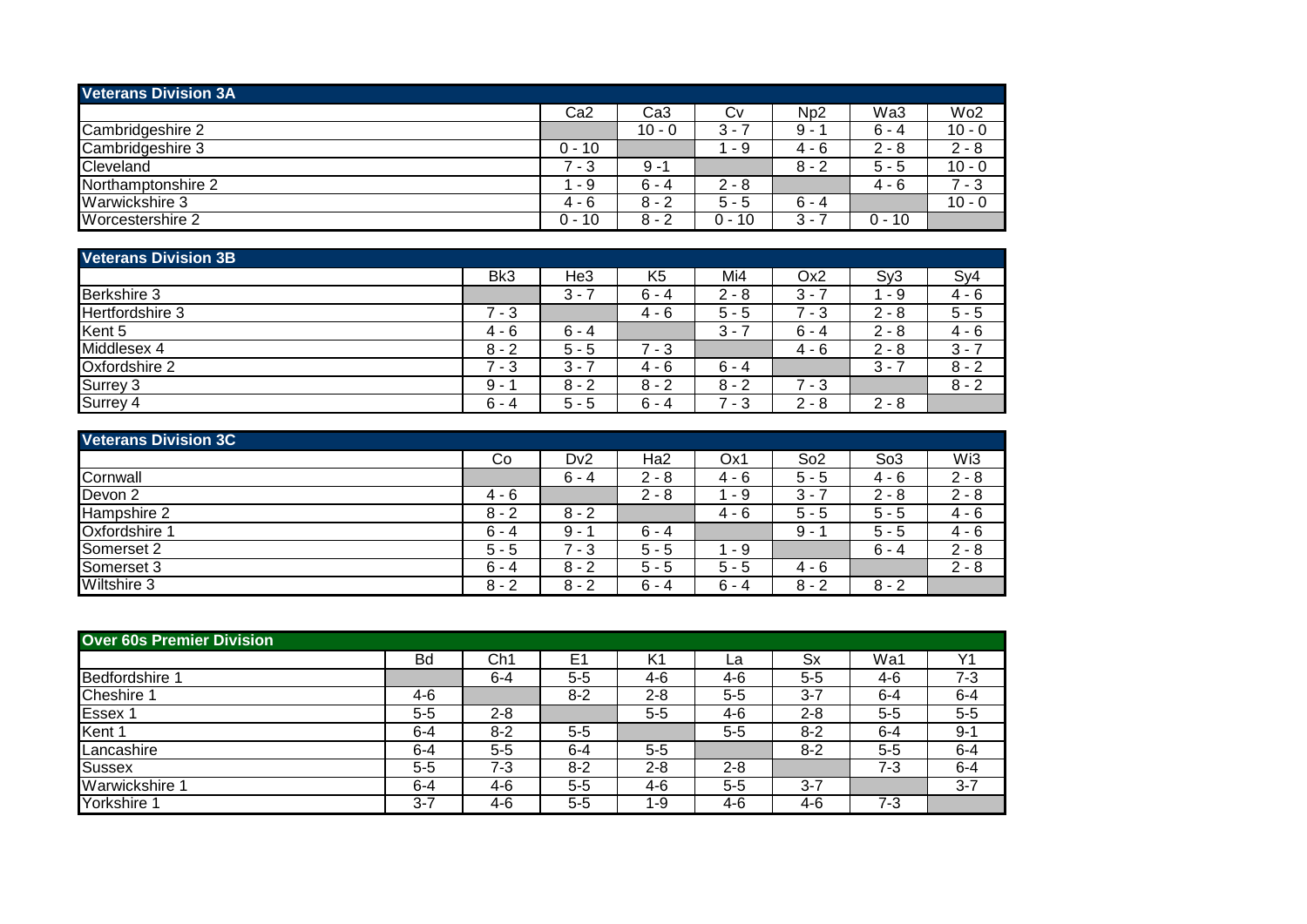| <b>Veterans Division 3A</b> |          |          |         |         |         |                 |
|-----------------------------|----------|----------|---------|---------|---------|-----------------|
|                             | Ca2      | Ca3      | Cv      | Np2     | Wa3     | Wo <sub>2</sub> |
| Cambridgeshire 2            |          | $10 - 0$ | $3 - 7$ | 9 -     | $6 - 4$ | $10 - 0$        |
| Cambridgeshire 3            | $0 - 10$ |          | - 9     | 4 - 6   | $2 - 8$ | $2 - 8$         |
| Cleveland                   | $7 - 3$  | $9 - 1$  |         | $8 - 2$ | $5 - 5$ | $10 - 0$        |
| Northamptonshire 2          | - 9      | $6 - 4$  | $2 - 8$ |         | 4 - 6   | 7 - 3           |
| Warwickshire 3              | $4 - 6$  | $8 - 2$  | $5 - 5$ | $6 - 4$ |         | $10 - 0$        |
| Worcestershire 2            | $0 - 10$ | 8 - 2    | 0 - 10  | 3 - 1   | 0 - 10  |                 |

| <b>Veterans Division 3B</b> |                                 |         |                |               |          |                               |         |
|-----------------------------|---------------------------------|---------|----------------|---------------|----------|-------------------------------|---------|
|                             | Bk3                             | He3     | K <sub>5</sub> | Mi4           | Ox2      | Sy3                           | Sy4     |
| Berkshire 3                 |                                 | $3 - 3$ | $6 - 4$        | $2 - 8$       | $3 -$    | - 9                           | 4 - 6   |
| Hertfordshire 3             | $7 - 3$                         |         | $4 - 6$        | 5 -<br>ა      | - 3      | $2 - 8$                       | $5 - 5$ |
| Kent 5                      | $4 - 6$                         | $6 - 4$ |                | $3 -$         | $6 - 4$  | $2 - 8$                       | $4 - 6$ |
| Middlesex 4                 | $8 - 2$                         | $5 - 5$ | 7 - 3          |               | 4 - 6    | $2 - 8$                       | $3 - 7$ |
| Oxfordshire 2               | $\overline{\phantom{a}}$<br>- 3 | $3 - 7$ | 4 - 6          | $6 - 4$       |          | 3<br>$\overline{\phantom{a}}$ | $8 - 2$ |
| Surrey 3                    | 9 -                             | $8 - 2$ | $8 - 2$        | $8 - 2$       | ⇁<br>- 3 |                               | $8 - 2$ |
| Surrey 4                    | $6 - 4$                         | $5 - 5$ | $6 - 4$        | $-7 - 4$<br>3 | $2 - 8$  | $2 - 8$                       |         |

| <b>Veterans Division 3C</b> |         |                  |         |         |                 |                 |         |
|-----------------------------|---------|------------------|---------|---------|-----------------|-----------------|---------|
|                             | Co      | D <sub>v</sub> 2 | Ha2     | Ox1     | So <sub>2</sub> | So <sub>3</sub> | Wi3     |
| Cornwall                    |         | $6 - 4$          | $2 - 8$ | 4 - 6   | $5 - 5$         | $4 - 6$         | $2 - 8$ |
| Devon <sub>2</sub>          | $4 - 6$ |                  | $2 - 8$ | 1 - 9   | $3 -$           | $2 - 8$         | $2 - 8$ |
| Hampshire 2                 | $8 - 2$ | $8 - 2$          |         | 4 - 6   | $5 - 5$         | $5 - 5$         | $4 - 6$ |
| Oxfordshire 1               | $6 - 4$ | $9 - 1$          | $6 - 4$ |         | 9 -             | $5 - 5$         | $4 - 6$ |
| Somerset 2                  | $5 - 5$ | 7 - 3            | $5 - 5$ | 1 - 9   |                 | $6 - 4$         | $2 - 8$ |
| Somerset 3                  | $6 - 4$ | $8 - 2$          | $5 - 5$ | $5 - 5$ | $4 - 6$         |                 | $2 - 8$ |
| Wiltshire 3                 | $8 - 2$ | $8 - 2$          | $6 - 4$ | $6 - 4$ | $8 - 2$         | $8 - 2$         |         |

| <b>Over 60s Premier Division</b> |         |         |         |         |         |         |         |         |
|----------------------------------|---------|---------|---------|---------|---------|---------|---------|---------|
|                                  | Bd      | Ch1     | E1      | K1      | La      | Sx      | Wa1     | Υ1      |
| Bedfordshire                     |         | $6 - 4$ | $5 - 5$ | 4-6     | 4-6     | $5 - 5$ | 4-6     | $7 - 3$ |
| Cheshire '                       | 4-6     |         | $8 - 2$ | $2 - 8$ | $5 - 5$ | $3 - 7$ | $6 - 4$ | $6 - 4$ |
| Essex 1                          | $5 - 5$ | $2 - 8$ |         | $5 - 5$ | 4-6     | $2 - 8$ | $5 - 5$ | $5 - 5$ |
| Kent 1                           | $6 - 4$ | $8 - 2$ | $5 - 5$ |         | $5 - 5$ | $8 - 2$ | $6 - 4$ | $9 - 1$ |
| Lancashire                       | $6 - 4$ | $5-5$   | $6 - 4$ | $5 - 5$ |         | $8-2$   | $5 - 5$ | $6 - 4$ |
| <b>Sussex</b>                    | $5 - 5$ | $7 - 3$ | $8 - 2$ | $2 - 8$ | $2 - 8$ |         | 7-3     | $6 - 4$ |
| Warwickshire 1                   | $6 - 4$ | $4-6$   | $5 - 5$ | 4-6     | $5 - 5$ | $3 - 7$ |         | $3 - 7$ |
| Yorkshire 1                      | $3 - 7$ | 4-6     | $5 - 5$ | 1-9     | 4-6     | 4-6     | 7-3     |         |